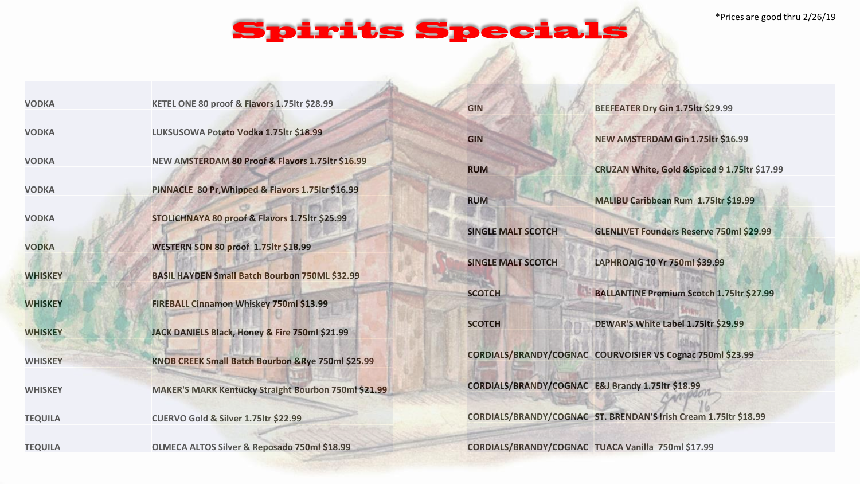\*Prices are good thru 2/26/19

## **Spirits Specials**

| <b>VODKA</b>   | KETEL ONE 80 proof & Flavors 1.75ltr \$28.99          | <b>GIN</b>                | BEEFEATER Dry Gin 1.75ltr \$29.99                                |
|----------------|-------------------------------------------------------|---------------------------|------------------------------------------------------------------|
| <b>VODKA</b>   | LUKSUSOWA Potato Vodka 1.75ltr \$18.99                | <b>GIN</b>                | NEW AMSTERDAM Gin 1.75ltr \$16.99                                |
| <b>VODKA</b>   | NEW AMSTERDAM 80 Proof & Flavors 1.75ltr \$16.99      | <b>RUM</b>                | CRUZAN White, Gold & Spiced 9 1.75ltr \$17.99                    |
| <b>VODKA</b>   | PINNACLE 80 Pr, Whipped & Flavors 1.75ltr \$16.99     | <b>RUM</b>                | MALIBU Caribbean Rum 1.75ltr \$19.99                             |
| <b>VODKA</b>   | STOLICHNAYA 80 proof & Flavors 1.75ltr \$25.99        | <b>SINGLE MALT SCOTCH</b> | <b>GLENLIVET Founders Reserve 750ml \$29.99</b>                  |
| <b>VODKA</b>   | WESTERN SON 80 proof 1.75ltr \$18.99                  |                           |                                                                  |
| <b>WHISKEY</b> | <b>BASIL HAYDEN Small Batch Bourbon 750ML \$32.99</b> | <b>SINGLE MALT SCOTCH</b> | LAPHROAIG 10 Yr 750ml \$39.99                                    |
| <b>WHISKEY</b> | FIREBALL Cinnamon Whiskey 750ml \$13.99               | <b>SCOTCH</b>             | <b>BALLANTINE Premium Scotch 1.75ltr \$27.99</b>                 |
| <b>WHISKEY</b> | JACK DANIELS Black, Honey & Fire 750ml \$21.99        | <b>SCOTCH</b>             | DEWAR'S White Label 1.75ltr \$29.99                              |
| <b>WHISKEY</b> | KNOB CREEK Small Batch Bourbon & Rye 750ml \$25.99    |                           | CORDIALS/BRANDY/COGNAC COURVOISIER VS Cognac 750ml \$23.99       |
| <b>WHISKEY</b> | MAKER'S MARK Kentucky Straight Bourbon 750ml \$21.99  |                           | CORDIALS/BRANDY/COGNAC E&J Brandy 1.75ltr \$18.99                |
| <b>TEQUILA</b> | CUERVO Gold & Silver 1.75ltr \$22.99                  |                           | CORDIALS/BRANDY/COGNAC ST. BRENDAN'S Irish Cream 1.75ltr \$18.99 |
| <b>TEQUILA</b> | OLMECA ALTOS Silver & Reposado 750ml \$18.99          |                           | CORDIALS/BRANDY/COGNAC TUACA Vanilla 750ml \$17.99               |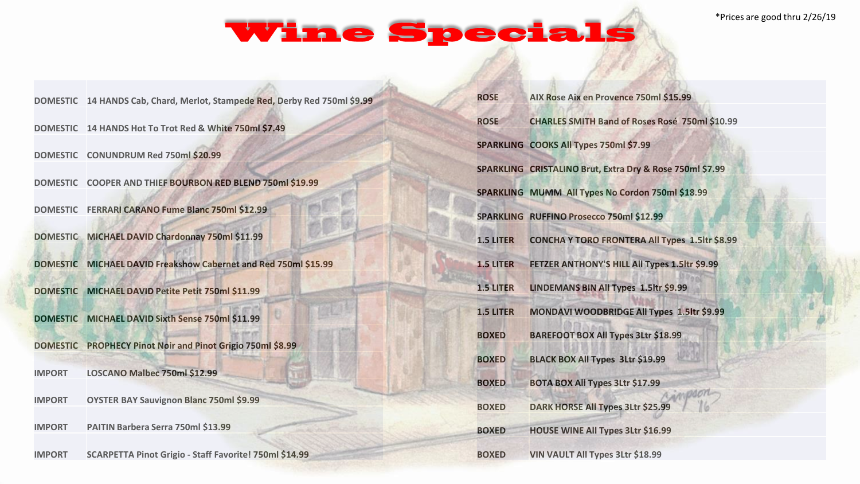## **Wine Specials**

|                 | DOMESTIC 14 HANDS Cab, Chard, Merlot, Stampede Red, Derby Red 750ml \$9.99 | <b>ROSE</b>      | AIX Rose Aix en Provence 750ml \$15.99                   |
|-----------------|----------------------------------------------------------------------------|------------------|----------------------------------------------------------|
|                 | DOMESTIC 14 HANDS Hot To Trot Red & White 750ml \$7.49                     | <b>ROSE</b>      | <b>CHARLES SMITH Band of Roses Rosé 750ml \$10.99</b>    |
| <b>DOMESTIC</b> | CONUNDRUM Red 750ml \$20.99                                                |                  | SPARKLING COOKS All Types 750ml \$7.99                   |
|                 |                                                                            |                  | SPARKLING CRISTALINO Brut, Extra Dry & Rose 750ml \$7.99 |
|                 | DOMESTIC COOPER AND THIEF BOURBON RED BLEND 750ml \$19.99                  |                  | SPARKLING MUMM All Types No Cordon 750ml \$18.99         |
|                 | DOMESTIC FERRARI CARANO Fume Blanc 750ml \$12.99                           |                  | SPARKLING RUFFINO Prosecco 750ml \$12.99                 |
|                 | DOMESTIC MICHAEL DAVID Chardonnay 750ml \$11.99                            | <b>1.5 LITER</b> | <b>CONCHA Y TORO FRONTERA All Types 1.5ltr \$8.99</b>    |
|                 | DOMESTIC MICHAEL DAVID Freakshow Cabernet and Red 750ml \$15.99            | 1.5 LITER        | FETZER ANTHONY'S HILL All Types 1.5ltr \$9.99            |
|                 | DOMESTIC MICHAEL DAVID Petite Petit 750ml \$11.99                          | 1.5 LITER        | LINDEMANS BIN All Types 1.5ltr \$9.99                    |
| <b>DOMESTIC</b> | MICHAEL DAVID Sixth Sense 750ml \$11.99                                    | <b>1.5 LITER</b> | MONDAVI WOODBRIDGE All Types 1.5ltr \$9.99               |
|                 |                                                                            | <b>BOXED</b>     | <b>BAREFOOT BOX All Types 3Ltr \$18.99</b>               |
| <b>DOMESTIC</b> | <b>PROPHECY Pinot Noir and Pinot Grigio 750ml \$8.99</b>                   | <b>BOXED</b>     | <b>BLACK BOX All Types 3Ltr \$19.99</b>                  |
| <b>IMPORT</b>   | LOSCANO Malbec 750ml \$12.99                                               | <b>BOXED</b>     | <b>BOTA BOX All Types 3Ltr \$17.99</b>                   |
| <b>IMPORT</b>   | <b>OYSTER BAY Sauvignon Blanc 750ml \$9.99</b>                             | <b>BOXED</b>     | <b>DARK HORSE All Types 3Ltr \$25.99</b>                 |
|                 |                                                                            |                  |                                                          |
| <b>IMPORT</b>   | PAITIN Barbera Serra 750ml \$13.99                                         | <b>BOXED</b>     | <b>HOUSE WINE All Types 3Ltr \$16.99</b>                 |
| <b>IMPORT</b>   | SCARPETTA Pinot Grigio - Staff Favorite! 750ml \$14.99                     | <b>BOXED</b>     | VIN VAULT All Types 3Ltr \$18.99                         |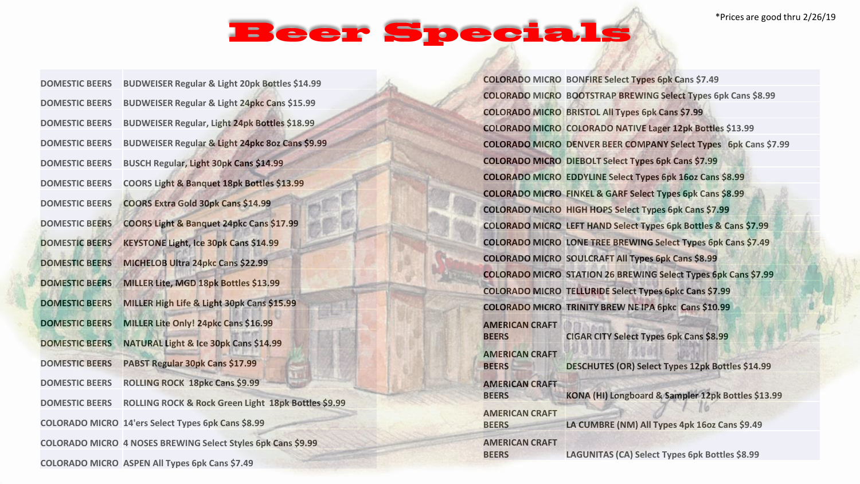\*Prices are good thru 2/26/19

## **Beer Specials**

| <b>DOMESTIC BEERS</b> | <b>BUDWEISER Regular &amp; Light 20pk Bottles \$14.99</b>    |
|-----------------------|--------------------------------------------------------------|
| <b>DOMESTIC BEERS</b> | <b>BUDWEISER Regular &amp; Light 24pkc Cans \$15.99</b>      |
| <b>DOMESTIC BEERS</b> | <b>BUDWEISER Regular, Light 24pk Bottles \$18.99</b>         |
| <b>DOMESTIC BEERS</b> | BUDWEISER Regular & Light 24pkc 8oz Cans \$9.99              |
| <b>DOMESTIC BEERS</b> | BUSCH Regular, Light 30pk Cans \$14.99                       |
| <b>DOMESTIC BEERS</b> | COORS Light & Banquet 18pk Bottles \$13.99                   |
| <b>DOMESTIC BEERS</b> | COORS Extra Gold 30pk Cans \$14.99                           |
| <b>DOMESTIC BEERS</b> | COORS Light & Banquet 24pkc Cans \$17.99                     |
| <b>DOMESTIC BEERS</b> | <b>KEYSTONE Light, Ice 30pk Cans \$14.99</b>                 |
| <b>DOMESTIC BEERS</b> | MICHELOB Ultra 24pkc Cans \$22.99                            |
| <b>DOMESTIC BEERS</b> | MILLER Lite, MGD 18pk Bottles \$13.99                        |
| <b>DOMESTIC BEERS</b> | MILLER High Life & Light 30pk Cans \$15.99                   |
| <b>DOMESTIC BEERS</b> | MILLER Lite Only! 24pkc Cans \$16.99                         |
| <b>DOMESTIC BEERS</b> | NATURAL Light & Ice 30pk Cans \$14.99                        |
| <b>DOMESTIC BEERS</b> | PABST Regular 30pk Cans \$17.99                              |
| <b>DOMESTIC BEERS</b> | <b>ROLLING ROCK 18pkc Cans \$9.99</b>                        |
| <b>DOMESTIC BEERS</b> | ROLLING ROCK & Rock Green Light 18pk Bottles \$9.99          |
|                       | <b>COLORADO MICRO 14'ers Select Types 6pk Cans \$8.99</b>    |
|                       | COLORADO MICRO 4 NOSES BREWING Select Styles 6pk Cans \$9.99 |
|                       | COLORADO MICRO ASPEN All Types 6pk Cans \$7.49               |

**COLORADO MICRO BONFIRE Select Types 6pk Cans \$7.49 COLORADO MICRO BOOTSTRAP BREWING Select Types 6pk Cans \$8.99 COLORADO MICRO BRISTOL All Types 6pk Cans \$7.99 COLORADO MICRO COLORADO NATIVE Lager 12pk Bottles \$13.99 COLORADO MICRO DENVER BEER COMPANY Select Types 6pk Cans \$7.99 COLORADO MICRO DIEBOLT Select Types 6pk Cans \$7.99 COLORADO MICRO EDDYLINE Select Types 6pk 16oz Cans \$8.99 COLORADO MICRO FINKEL & GARF Select Types 6pk Cans \$8.99 COLORADO MICRO HIGH HOPS Select Types 6pk Cans \$7.99 COLORADO MICRO LEFT HAND Select Types 6pk Bottles & Cans \$7.99 COLORADO MICRO LONE TREE BREWING Select Types 6pk Cans \$7.49 COLORADO MICRO SOULCRAFT All Types 6pk Cans \$8.99 COLORADO MICRO STATION 26 BREWING Select Types 6pk Cans \$7.99 COLORADO MICRO TELLURIDE Select Types 6pkc Cans \$7.99 COLORADO MICRO TRINITY BREW NE IPA 6pkc Cans \$10.99 AMERICAN CRAFT BEERS CIGAR CITY Select Types 6pk Cans \$8.99 AMERICAN CRAFT BEERS DESCHUTES (OR) Select Types 12pk Bottles \$14.99 AMERICAN CRAFT BEERS KONA (HI) Longboard & Sampler 12pk Bottles \$13.99 AMERICAN CRAFT BEERS LA CUMBRE (NM) All Types 4pk 16oz Cans \$9.49 AMERICAN CRAFT BEERS LAGUNITAS (CA) Select Types 6pk Bottles \$8.99**